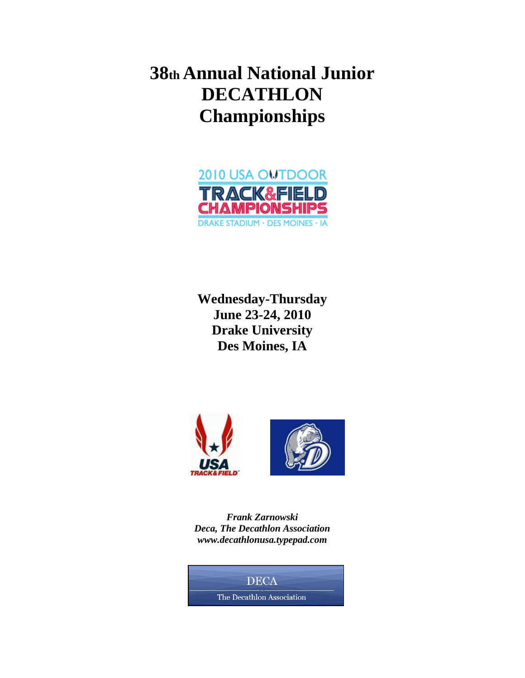**38th Annual National Junior DECATHLON Championships** 



**Wednesday-Thursday June 23-24, 2010 Drake University Des Moines, IA**



*Frank Zarnowski Deca, The Decathlon Association www.decathlonusa.typepad.com* 

**DECA** The Decathlon Association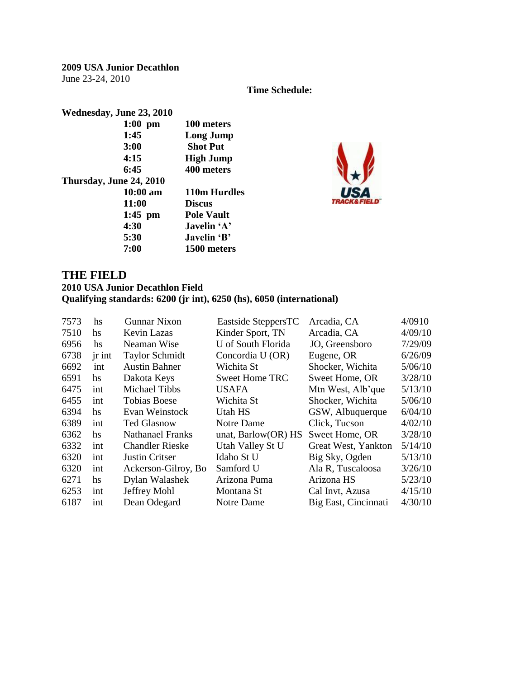**2009 USA Junior Decathlon**  June 23-24, 2010

**Time Schedule:** 

| Wednesday, June 23, 2010 |                   |
|--------------------------|-------------------|
| $1:00$ pm                | 100 meters        |
| 1:45                     | <b>Long Jump</b>  |
| <b>3:00</b>              | <b>Shot Put</b>   |
| 4:15                     | <b>High Jump</b>  |
| 6:45                     | 400 meters        |
| Thursday, June 24, 2010  |                   |
| $10:00 \text{ am}$       | 110m Hurdles      |
| 11:00                    | <b>Discus</b>     |
| $1:45$ pm                | <b>Pole Vault</b> |
| 4:30                     | Javelin 'A'       |
| 5:30                     | Javelin 'B'       |
| 7:00                     | 1500 meters       |



#### **THE FIELD**

#### **2010 USA Junior Decathlon Field Qualifying standards: 6200 (jr int), 6250 (hs), 6050 (international)**

| 7573 | hs       | <b>Gunnar Nixon</b>    | Eastside SteppersTC    | Arcadia, CA          | 4/0910  |
|------|----------|------------------------|------------------------|----------------------|---------|
| 7510 | hs       | Kevin Lazas            | Kinder Sport, TN       | Arcadia, CA          | 4/09/10 |
| 6956 | hs       | Neaman Wise            | U of South Florida     | JO, Greensboro       | 7/29/09 |
| 6738 | $jr$ int | <b>Taylor Schmidt</b>  | Concordia U (OR)       | Eugene, OR           | 6/26/09 |
| 6692 | int      | <b>Austin Bahner</b>   | Wichita St             | Shocker, Wichita     | 5/06/10 |
| 6591 | hs       | Dakota Keys            | <b>Sweet Home TRC</b>  | Sweet Home, OR       | 3/28/10 |
| 6475 | int      | Michael Tibbs          | <b>USAFA</b>           | Mtn West, Alb'que    | 5/13/10 |
| 6455 | int      | <b>Tobias Boese</b>    | Wichita St             | Shocker, Wichita     | 5/06/10 |
| 6394 | hs       | Evan Weinstock         | Utah HS                | GSW, Albuquerque     | 6/04/10 |
| 6389 | int      | <b>Ted Glasnow</b>     | Notre Dame             | Click, Tucson        | 4/02/10 |
| 6362 | hs       | Nathanael Franks       | unat, Barlow $(OR)$ HS | Sweet Home, OR       | 3/28/10 |
| 6332 | int      | <b>Chandler Rieske</b> | Utah Valley St U       | Great West, Yankton  | 5/14/10 |
| 6320 | int      | Justin Critser         | Idaho St U             | Big Sky, Ogden       | 5/13/10 |
| 6320 | int      | Ackerson-Gilroy, Bo    | Samford U              | Ala R, Tuscaloosa    | 3/26/10 |
| 6271 | hs       | Dylan Walashek         | Arizona Puma           | Arizona HS           | 5/23/10 |
| 6253 | int      | Jeffrey Mohl           | Montana St             | Cal Invt, Azusa      | 4/15/10 |
| 6187 | int      | Dean Odegard           | Notre Dame             | Big East, Cincinnati | 4/30/10 |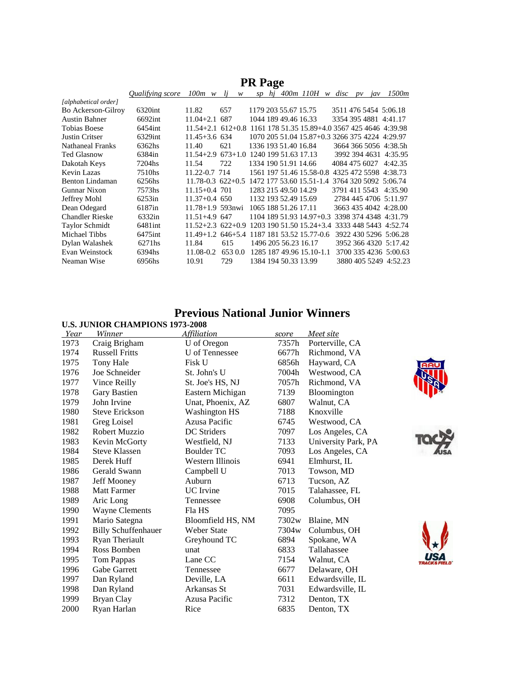|                         | <i>Oualifying score</i> | $100m \ w$                                                       | li<br>w                      | sp                   |  | $h$ j 400m 110H w disc                         |               | pv | jav | 1500m                 |
|-------------------------|-------------------------|------------------------------------------------------------------|------------------------------|----------------------|--|------------------------------------------------|---------------|----|-----|-----------------------|
| [alphabetical order]    |                         |                                                                  |                              |                      |  |                                                |               |    |     |                       |
| Bo Ackerson-Gilroy      | 6320int                 | 11.82                                                            | 657                          | 1179 203 55.67 15.75 |  |                                                |               |    |     | 3511 476 5454 5:06.18 |
| <b>Austin Bahner</b>    | 6692int                 | $11.04 + 2.1$ 687                                                |                              | 1044 189 49.46 16.33 |  |                                                |               |    |     | 3354 395 4881 4:41.17 |
| Tobias Boese            | 6454int                 | $11.54 + 2.1$ 612+0.8                                            |                              |                      |  | 1161 178 51.35 15.89+4.0 3567 425 4646 4:39.98 |               |    |     |                       |
| Justin Critser          | 6329int                 | $11.45 + 3.6$ 634                                                |                              |                      |  | 1070 205 51.04 15.87+0.3 3266 375 4224 4:29.97 |               |    |     |                       |
| <b>Nathaneal Franks</b> | 6362hs                  | 11.40                                                            | 621                          | 1336 193 51.40 16.84 |  |                                                |               |    |     | 3664 366 5056 4:38.5h |
| <b>Ted Glasnow</b>      | 6384in                  | $11.54 + 2.9$                                                    | 673+1.0 1240 199 51.63 17.13 |                      |  |                                                |               |    |     | 3992 394 4631 4:35.95 |
| Dakotah Keys            | 7204hs                  | 11.54                                                            | 722                          | 1334 190 51.91 14.66 |  |                                                | 4084 475 6027 |    |     | 4:42.35               |
| Kevin Lazas             | 7510hs                  | 11.22-0.7 714                                                    |                              |                      |  | 1561 197 51.46 15.58-0.8                       |               |    |     | 4325 472 5598 4:38.73 |
| <b>Benton Lindaman</b>  | 6256hs                  | $11.78 - 0.3$ 622 + 0.5                                          |                              |                      |  | 1472 177 53.60 15.51-1.4 3764 320 5092 5:06.74 |               |    |     |                       |
| Gunnar Nixon            | 7573hs                  | $11.15 + 0.4$ 701                                                |                              | 1283 215 49.50 14.29 |  |                                                |               |    |     | 3791 411 5543 4:35.90 |
| Jeffrey Mohl            | 6253in                  | $11.37+0.4$ 650                                                  |                              | 1132 193 52.49 15.69 |  |                                                |               |    |     | 2784 445 4706 5:11.97 |
| Dean Odegard            | 6187in                  | $11.78 + 1.9$ 593nwi                                             |                              | 1065 188 51.26 17.11 |  |                                                |               |    |     | 3663 435 4042 4:28.00 |
| <b>Chandler Rieske</b>  | 6332in                  | $11.51 + 4.9647$                                                 |                              |                      |  | 1104 189 51.93 14.97+0.3                       |               |    |     | 3398 374 4348 4:31.79 |
| <b>Taylor Schmidt</b>   | 6481int                 | 11.52+2.3 622+0.9 1203 190 51.50 15.24+3.4 3333 448 5443 4:52.74 |                              |                      |  |                                                |               |    |     |                       |
| Michael Tibbs           | 6475 int                | $11.49 + 1.2$                                                    | 646+5.4                      |                      |  | 1187 181 53.52 15.77-0.6                       |               |    |     | 3922 430 5296 5:06.28 |
| Dylan Walashek          | 6271hs                  | 11.84                                                            | 615                          |                      |  | 1496 205 56.23 16.17                           |               |    |     | 3952 366 4320 5:17.42 |
| Evan Weinstock          | 6394hs                  | 11.08-0.2                                                        | 653 0.0                      |                      |  | 1285 187 49.96 15.10-1.1                       |               |    |     | 3700 335 4236 5:00.63 |
| Neaman Wise             | 6956hs                  | 10.91                                                            | 729                          |                      |  | 1384 194 50.33 13.99                           |               |    |     | 3880 405 5249 4:52.23 |
|                         |                         |                                                                  |                              |                      |  |                                                |               |    |     |                       |

#### **PR Page**

#### **Previous National Junior Winners**

|      | <b>U.S. JUNIOR CHAMPIONS 1973-2008</b> |                       |       |                     |  |
|------|----------------------------------------|-----------------------|-------|---------------------|--|
| Year | <b>Winner</b>                          | <b>Affiliation</b>    | score | Meet site           |  |
| 1973 | Craig Brigham                          | U of Oregon           | 7357h | Porterville, CA     |  |
| 1974 | <b>Russell Fritts</b>                  | <b>U</b> of Tennessee | 6677h | Richmond, VA        |  |
| 1975 | <b>Tony Hale</b>                       | <b>Fisk U</b>         | 6856h | Hayward, CA         |  |
| 1976 | Joe Schneider                          | St. John's U          | 7004h | Westwood, CA        |  |
| 1977 | Vince Reilly                           | St. Joe's HS, NJ      | 7057h | Richmond, VA        |  |
| 1978 | Gary Bastien                           | Eastern Michigan      | 7139  | Bloomington         |  |
| 1979 | John Irvine                            | Unat, Phoenix, AZ     | 6807  | Walnut, CA          |  |
| 1980 | <b>Steve Erickson</b>                  | <b>Washington HS</b>  | 7188  | Knoxville           |  |
| 1981 | Greg Loisel                            | Azusa Pacific         | 6745  | Westwood, CA        |  |
| 1982 | Robert Muzzio                          | DC Striders           | 7097  | Los Angeles, CA     |  |
| 1983 | Kevin McGorty                          | Westfield, NJ         | 7133  | University Park, PA |  |
| 1984 | <b>Steve Klassen</b>                   | <b>Boulder TC</b>     | 7093  | Los Angeles, CA     |  |
| 1985 | Derek Huff                             | Western Illinois      | 6941  | Elmhurst, IL        |  |
| 1986 | Gerald Swann                           | Campbell U            | 7013  | Towson, MD          |  |
| 1987 | Jeff Mooney                            | Auburn                | 6713  | Tucson, AZ          |  |
| 1988 | <b>Matt Farmer</b>                     | UC Irvine             | 7015  | Talahassee, FL      |  |
| 1989 | Aric Long                              | Tennessee             | 6908  | Columbus, OH        |  |
| 1990 | <b>Wayne Clements</b>                  | Fla HS                | 7095  |                     |  |
| 1991 | Mario Sategna                          | Bloomfield HS, NM     | 7302w | Blaine, MN          |  |
| 1992 | <b>Billy Schuffenhauer</b>             | <b>Weber State</b>    | 7304w | Columbus, OH        |  |
| 1993 | Ryan Theriault                         | Greyhound TC          | 6894  | Spokane, WA         |  |
| 1994 | Ross Bomben                            | unat                  | 6833  | Tallahassee         |  |
| 1995 | Tom Pappas                             | Lane CC               | 7154  | Walnut, CA          |  |
| 1996 | Gabe Garrett                           | Tennessee             | 6677  | Delaware, OH        |  |
| 1997 | Dan Ryland                             | Deville, LA           | 6611  | Edwardsville, IL    |  |
| 1998 | Dan Ryland                             | Arkansas St           | 7031  | Edwardsville, IL    |  |
| 1999 | Bryan Clay                             | Azusa Pacific         | 7312  | Denton, TX          |  |
| 2000 | Ryan Harlan                            | Rice                  | 6835  | Denton, TX          |  |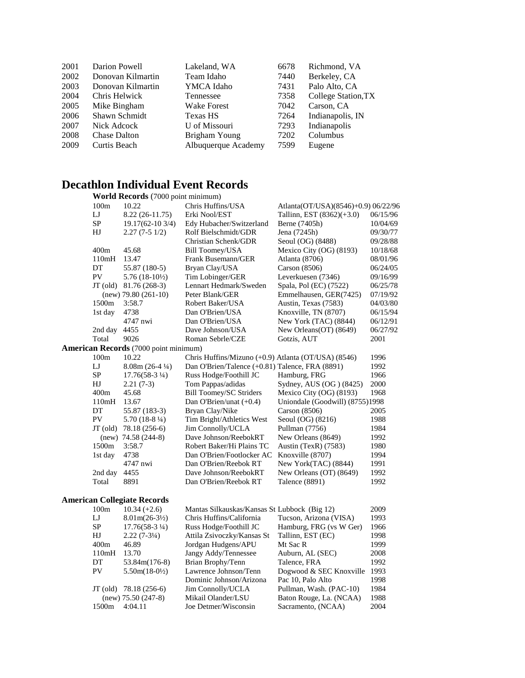| 2001 | Darion Powell       | Lakeland, WA        | 6678 | Richmond, VA        |
|------|---------------------|---------------------|------|---------------------|
| 2002 | Donovan Kilmartin   | Team Idaho          | 7440 | Berkeley, CA        |
| 2003 | Donovan Kilmartin   | YMCA Idaho          | 7431 | Palo Alto, CA       |
| 2004 | Chris Helwick       | Tennessee           | 7358 | College Station, TX |
| 2005 | Mike Bingham        | <b>Wake Forest</b>  | 7042 | Carson, CA          |
| 2006 | Shawn Schmidt       | Texas HS            | 7264 | Indianapolis, IN    |
| 2007 | Nick Adcock         | U of Missouri       | 7293 | Indianapolis        |
| 2008 | <b>Chase Dalton</b> | Brigham Young       | 7202 | Columbus            |
| 2009 | Curtis Beach        | Albuquerque Academy | 7599 | Eugene              |
|      |                     |                     |      |                     |

### **Decathlon Individual Event Records**

**World Records** (7000 point minimum)

| 100m       | 10.22                                        | Chris Huffins/USA                                   | Atlanta(OT/USA)(8546)+0.9) 06/22/96 |          |
|------------|----------------------------------------------|-----------------------------------------------------|-------------------------------------|----------|
| LJ         | $8.22(26-11.75)$                             | Erki Nool/EST                                       | Tallinn, EST (8362)(+3.0)           | 06/15/96 |
| SP         | 19.17(62-10 3/4)                             | Edy Hubacher/Switzerland                            | Berne (7405h)                       | 10/04/69 |
| HJ         | $2.27(7-51/2)$                               | Rolf Bielschmidt/GDR                                | Jena (7245h)                        | 09/30/77 |
|            |                                              | Christian Schenk/GDR                                | Seoul (OG) (8488)                   | 09/28/88 |
| 400m       | 45.68                                        | <b>Bill Toomey/USA</b>                              | Mexico City (OG) (8193)             | 10/18/68 |
| 110mH      | 13.47                                        | Frank Busemann/GER                                  | Atlanta (8706)                      | 08/01/96 |
| DT         | 55.87 (180-5)                                | Bryan Clay/USA                                      | Carson (8506)                       | 06/24/05 |
| ${\rm PV}$ | $5.76(18-10\frac{1}{2})$                     | Tim Lobinger/GER                                    | Leverkuesen (7346)                  | 09/16/99 |
| $JT$ (old) | 81.76 (268-3)                                | Lennart Hedmark/Sweden                              | Spala, Pol (EC) (7522)              | 06/25/78 |
|            | $(new)$ 79.80 (261-10)                       | Peter Blank/GER                                     | Emmelhausen, GER(7425)              | 07/19/92 |
| 1500m      | 3:58.7                                       | Robert Baker/USA                                    | Austin, Texas (7583)                | 04/03/80 |
| 1st day    | 4738                                         | Dan O'Brien/USA                                     | Knoxville, TN (8707)                | 06/15/94 |
|            | 4747 nwi                                     | Dan O'Brien/USA                                     | New York (TAC) (8844)               | 06/12/91 |
| 2nd day    | 4455                                         | Dave Johnson/USA                                    | New Orleans(OT) (8649)              | 06/27/92 |
| Total      | 9026                                         | Roman Sebrle/CZE                                    | Gotzis, AUT                         | 2001     |
|            | <b>American Records</b> (7000 point minimum) |                                                     |                                     |          |
| 100m       | 10.22                                        | Chris Huffins/Mizuno (+0.9) Atlanta (OT/USA) (8546) |                                     | 1996     |
| LJ         | $8.08m(26-4\frac{1}{4})$                     | Dan O'Brien/Talence (+0.81) Talence, FRA (8891)     |                                     | 1992     |
| SP         | $17.76(58-3\frac{1}{4})$                     | Russ Hodge/Foothill JC                              | Hamburg, FRG                        | 1966     |
| HJ         | $2.21(7-3)$                                  | Tom Pappas/adidas                                   | Sydney, AUS (OG) (8425)             | 2000     |
| 400m       | 45.68                                        | <b>Bill Toomey/SC Striders</b>                      | Mexico City (OG) (8193)             | 1968     |
| 110mH      | 13.67                                        | Dan O'Brien/unat (+0.4)                             | Uniondale (Goodwill) (8755)1998     |          |
| DT         | 55.87 (183-3)                                | Bryan Clay/Nike                                     | Carson $(8506)$                     | 2005     |
| PV         | $5.70(18-8\frac{1}{4})$                      | Tim Bright/Athletics West                           | Seoul (OG) (8216)                   | 1988     |
| $JT$ (old) | 78.18 (256-6)                                | Jim Connolly/UCLA                                   | Pullman (7756)                      | 1984     |
|            | $(new)$ 74.58 (244-8)                        | Dave Johnson/ReebokRT                               | New Orleans (8649)                  | 1992     |
| 1500m      | 3:58.7                                       | Robert Baker/Hi Plains TC                           | Austin (TexR) (7583)                | 1980     |
| 1st day    | 4738                                         | Dan O'Brien/Footlocker AC                           | Knoxville (8707)                    | 1994     |
|            | 4747 nwi                                     | Dan O'Brien/Reebok RT                               | New York(TAC) (8844)                | 1991     |
| 2nd day    | 4455                                         | Dave Johnson/ReebokRT                               | New Orleans (OT) (8649)             | 1992     |
| Total      | 8891                                         | Dan O'Brien/Reebok RT                               | Talence (8891)                      | 1992     |
|            | <b>American Collegiate Records</b>           |                                                     |                                     |          |
| 100m       | $10.34 (+2.6)$                               | Mantas Silkauskas/Kansas St Lubbock (Big 12)        |                                     | 2009     |
| LJ         | $8.01m(26-3\frac{1}{2})$                     | Chris Huffins/California                            | Tucson, Arizona (VISA)              | 1993     |
| ${\rm SP}$ | $17.76(58-3\frac{1}{4})$                     | Russ Hodge/Foothill JC                              | Hamburg, FRG (vs W Ger)             | 1966     |
| HJ         | $2.22(7-3\frac{1}{4})$                       | Attila Zsivoczky/Kansas St                          | Tallinn, EST (EC)                   | 1998     |
| 400m       | 46.89                                        | Jordgan Hudgens/APU                                 | Mt Sac R                            | 1999     |
| 110mH      | 13.70                                        | Jangy Addy/Tennessee                                | Auburn, AL (SEC)                    | 2008     |
| DT         | 53.84m(176-8)                                | Brian Brophy/Tenn                                   | Talence, FRA                        | 1992     |
| PV         | $5.50m(18-0\frac{1}{2})$                     | Lawrence Johnson/Tenn                               | Dogwood & SEC Knoxville             | 1993     |
|            |                                              | Dominic Johnson/Arizona                             | Pac 10, Palo Alto                   | 1998     |
| JT (old)   | 78.18 (256-6)                                | Jim Connolly/UCLA                                   | Pullman, Wash. (PAC-10)             | 1984     |
|            | $(new)$ 75.50 (247-8)                        | Mikail Olander/LSU                                  | Baton Rouge, La. (NCAA)             | 1988     |
| 1500m      | 4:04.11                                      | Joe Detmer/Wisconsin                                | Sacramento, (NCAA)                  | 2004     |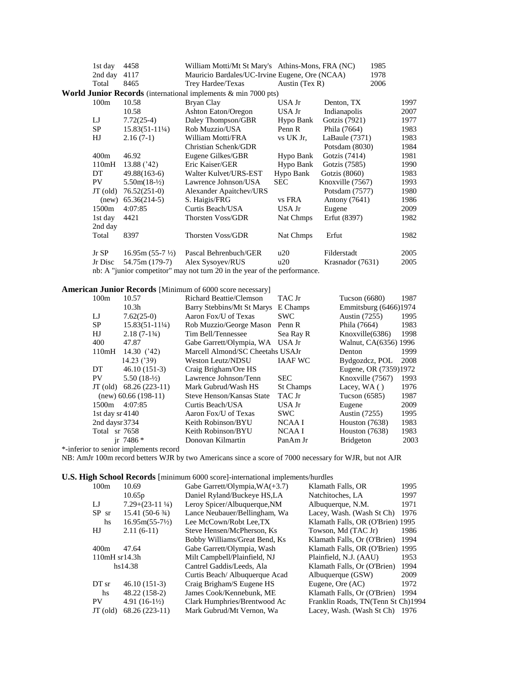| 1st day           | 4458                      | William Motti/Mt St Mary's Athins-Mons, FRA (NC)                          |                |                  | 1985 |      |
|-------------------|---------------------------|---------------------------------------------------------------------------|----------------|------------------|------|------|
| 2nd day           | 4117                      | Mauricio Bardales/UC-Irvine Eugene, Ore (NCAA)                            |                |                  | 1978 |      |
| Total             | 8465                      | Trey Hardee/Texas                                                         | Austin (Tex R) |                  | 2006 |      |
|                   |                           | World Junior Records (international implements & min 7000 pts)            |                |                  |      |      |
| 100m              | 10.58                     | Bryan Clay                                                                | USA Jr         | Denton, TX       |      | 1997 |
|                   | 10.58                     | Ashton Eaton/Oregon                                                       | USA Jr         | Indianapolis     |      | 2007 |
| $_{\rm LJ}$       | $7.72(25-4)$              | Daley Thompson/GBR                                                        | Hypo Bank      | Gotzis (7921)    |      | 1977 |
| SP                | $15.83(51-11\frac{1}{4})$ | Rob Muzzio/USA                                                            | Penn R         | Phila (7664)     |      | 1983 |
| HJ                | $2.16(7-1)$               | William Motti/FRA                                                         | vs UK Jr.      | LaBaule (7371)   |      | 1983 |
|                   |                           | Christian Schenk/GDR                                                      |                | Potsdam (8030)   |      | 1984 |
| 400m              | 46.92                     | Eugene Gilkes/GBR                                                         | Hypo Bank      | Gotzis (7414)    |      | 1981 |
| 110mH             | 13.88 ('42)               | Eric Kaiser/GER                                                           | Hypo Bank      | Gotzis (7585)    |      | 1990 |
| DT                | $49.88(163-6)$            | Walter Kulvet/URS-EST                                                     | Hypo Bank      | Gotzis $(8060)$  |      | 1983 |
| PV.               | $5.50m(18-1/2)$           | Lawrence Johnson/USA                                                      | <b>SEC</b>     | Knoxville (7567) |      | 1993 |
| $JT$ (old)        | $76.52(251-0)$            | Alexander Apaitchev/URS                                                   |                | Potsdam (7577)   |      | 1980 |
| (new)             | $65.36(214-5)$            | S. Haigis/FRG                                                             | vs FRA         | Antony (7641)    |      | 1986 |
| 1500 <sub>m</sub> | 4:07:85                   | Curtis Beach/USA                                                          | USA Jr         | Eugene           |      | 2009 |
| 1st day           | 4421                      | <b>Thorsten Voss/GDR</b>                                                  | Nat Chmps      | Erfut (8397)     |      | 1982 |
| 2nd day           |                           |                                                                           |                |                  |      |      |
| Total             | 8397                      | Thorsten Voss/GDR                                                         | Nat Chmps      | Erfut            |      | 1982 |
| $Jr$ SP           | $16.95m(55-7\frac{1}{2})$ | Pascal Behrenbuch/GER                                                     | u20            | Filderstadt      |      | 2005 |
| Jr Disc           | 54.75m (179-7)            | Alex Sysovev/RUS                                                          | u20            | Krasnador (7631) |      | 2005 |
|                   |                           | nb: A "junior competitor" may not turn 20 in the year of the performance. |                |                  |      |      |

#### **American Junior Records** [Minimum of 6000 score necessary]

| 100m             | 10.57                     | <b>Richard Beattie/Clemson</b>   | TAC Jr           | Tucson $(6680)$       | 1987 |
|------------------|---------------------------|----------------------------------|------------------|-----------------------|------|
|                  | 10.3 <sub>h</sub>         | Barry Stebbins/Mt St Marys       | E Champs         | Emmitsburg (6466)1974 |      |
| LJ               | $7.62(25-0)$              | Aaron Fox/U of Texas             | <b>SWC</b>       | Austin (7255)         | 1995 |
| SP.              | $15.83(51-11\frac{1}{4})$ | Rob Muzzio/George Mason          | Penn R           | Phila (7664)          | 1983 |
| HJ               | $2.18(7-1\frac{3}{4})$    | Tim Bell/Tennessee               | Sea Ray R        | Knoxville(6386)       | 1998 |
| 400              | 47.87                     | Gabe Garrett/Olympia, WA         | USA Jr           | Walnut, CA(6356) 1996 |      |
| 110mH            | 14.30 $('42)$             | Marcell Almond/SC Cheetahs USAJr |                  | Denton                | 1999 |
|                  | 14.23 ('39)               | <b>Weston Leutz/NDSU</b>         | <b>IAAF WC</b>   | Bydgozdcz, POL        | 2008 |
| DT               | $46.10(151-3)$            | Craig Brigham/Ore HS             |                  | Eugene, OR (7359)1972 |      |
| <b>PV</b>        | $5.50(18-1/2)$            | Lawrence Johnson/Tenn            | <b>SEC</b>       | Knoxville (7567)      | 1993 |
| $JT$ (old)       | $68.26(223-11)$           | Mark Gubrud/Wash HS              | <b>St Champs</b> | Lacey, $WA()$         | 1976 |
|                  | $(new)$ 60.66 (198-11)    | Steve Henson/Kansas State        | TAC Jr           | Tucson $(6585)$       | 1987 |
| 1500m            | 4:07:85                   | Curtis Beach/USA                 | USA Jr           | Eugene                | 2009 |
| 1st day $sr4140$ |                           | Aaron Fox/U of Texas             | <b>SWC</b>       | <b>Austin</b> (7255)  | 1995 |
| 2nd daysr 3734   |                           | Keith Robinson/BYU               | NCAA I           | Houston $(7638)$      | 1983 |
| Total sr 7658    |                           | Keith Robinson/BYU               | NCAA I           | Houston $(7638)$      | 1983 |
|                  | ir $7486*$                | Donovan Kilmartin                | PanAm Jr         | <b>Bridgeton</b>      | 2003 |

\*-inferior to senior implements record

NB: AmJr 100m record betters WJR by two Americans since a score of 7000 necessary for WJR, but not AJR

#### **U.S. High School Records** [minimum 6000 score]-international implements/hurdles

| 100m               | 10.69                     | Gabe Garrett/Olympia, $WA(+3.7)$ | Klamath Falls, OR                  | 1995 |
|--------------------|---------------------------|----------------------------------|------------------------------------|------|
|                    | 10.65p                    | Daniel Ryland/Buckeye HS,LA      | Natchitoches, LA                   | 1997 |
| LJ                 | $7.29+(23-11\frac{1}{4})$ | Leroy Spicer/Albuquerque, NM     | Albuquerque, N.M.                  | 1971 |
| $SP$ sr            | $15.41(50-63/4)$          | Lance Neubauer/Bellingham, Wa    | Lacey, Wash. (Wash St Ch)          | 1976 |
| hs                 | $16.95m(55-7\frac{1}{2})$ | Lee McCown/Robt Lee,TX           | Klamath Falls, OR (O'Brien) 1995   |      |
| HJ                 | $2.11(6-11)$              | Steve Hensen/McPherson, Ks       | Towson, Md (TAC Jr)                | 1986 |
|                    |                           | Bobby Williams/Great Bend, Ks    | Klamath Falls, Or (O'Brien)        | 1994 |
| 400m               | 47.64                     | Gabe Garrett/Olympia, Wash       | Klamath Falls, OR (O'Brien) 1995   |      |
| $110mH$ sr $14.3h$ |                           | Milt Campbell/Plainfield, NJ     | Plainfield, N.J. (AAU)             | 1953 |
|                    | hs14.38                   | Cantrel Gaddis/Leeds, Ala        | Klamath Falls, Or (O'Brien)        | 1994 |
|                    |                           | Curtis Beach/Albuquerque Acad    | Albuquerque (GSW)                  | 2009 |
| DT sr              | $46.10(151-3)$            | Craig Brigham/S Eugene HS        | Eugene, Ore (AC)                   | 1972 |
| hs                 | 48.22 (158-2)             | James Cook/Kennebunk, ME         | Klamath Falls, Or (O'Brien)        | 1994 |
| PV                 | 4.91 $(16-1\frac{1}{2})$  | Clark Humphries/Brentwood Ac     | Franklin Roads, TN(Tenn St Ch)1994 |      |
| $JT$ (old)         | $68.26(223-11)$           | Mark Gubrud/Mt Vernon, Wa        | Lacey, Wash. (Wash St Ch) 1976     |      |
|                    |                           |                                  |                                    |      |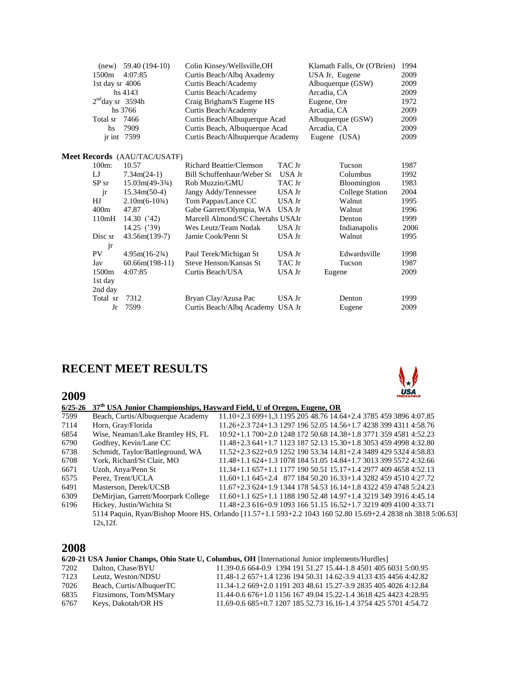| (new)             | 59.40 (194-10)                      | Colin Kinsey/Wellsville, OH      |        | Klamath Falls, Or (O'Brien) | 1994 |
|-------------------|-------------------------------------|----------------------------------|--------|-----------------------------|------|
| 1500m             | 4:07:85                             | Curtis Beach/Albq Axademy        |        | USA Jr, Eugene              | 2009 |
| 1st day sr 4006   |                                     | Curtis Beach/Academy             |        | Albuquerque (GSW)           | 2009 |
|                   | hs 4143                             | Curtis Beach/Academy             |        | Arcadia, CA                 | 2009 |
| $2ndday$ sr 3594h |                                     | Craig Brigham/S Eugene HS        |        | Eugene, Ore                 | 1972 |
|                   | hs 3766                             | Curtis Beach/Academy             |        | Arcadia, CA                 | 2009 |
| Total sr          | 7466                                | Curtis Beach/Albuquerque Acad    |        | Albuquerque (GSW)           | 2009 |
| hs                | 7909                                | Curtis Beach, Albuquerque Acad   |        | Arcadia, CA                 | 2009 |
| jr int 7599       |                                     | Curtis Beach/Albuquerque Academy |        | Eugene (USA)                | 2009 |
|                   | <b>Meet Records</b> (AAU/TAC/USATF) |                                  |        |                             |      |
| $100m$ :          | 10.57                               | Richard Beattie/Clemson          | TAC Jr | Tucson                      | 1987 |
| LJ                | $7.34m(24-1)$                       | Bill Schuffenhaur/Weber St       | USA Jr | Columbus                    | 1992 |
| $SP$ sr           | $15.03m(49-3\frac{3}{4})$           | Rob Muzzio/GMU                   | TAC Jr | Bloomington                 | 1983 |
| jr                | $15.34m(50-4)$                      | Jangy Addy/Tennessee             | USA Jr | <b>College Station</b>      | 2004 |
| HJ                | $2.10m(6-10^{3}/4)$                 | Tom Pappas/Lance CC              | USA Jr | Walnut                      | 1995 |
| 400m              | 47.87                               | Gabe Garrett/Olympia, WA         | USA Jr | Walnut                      | 1996 |
| 110mH             | 14.30 $(32)$                        | Marcell Almond/SC Cheetahs USAJr |        | Denton                      | 1999 |
|                   | 14.25(39)                           | Wes Leutz/Team Nodak             | USA Jr | Indianapolis                | 2006 |
| Disc sr           | 43.56m(139-7)                       | Jamie Cook/Penn St               | USA Jr | Walnut                      | 1995 |
| jr                |                                     |                                  |        |                             |      |
| PV                | $4.95m(16-2\frac{3}{4})$            | Paul Terek/Michigan St           | USA Jr | Edwardsville                | 1998 |
| Jav               | $60.66m(198-11)$                    | Steve Henson/Kansas St           | TAC Jr | Tucson                      | 1987 |
| 1500m             | 4:07:85                             | Curtis Beach/USA                 | USA Jr | Eugene                      | 2009 |
| 1st day           |                                     |                                  |        |                             |      |
| 2nd day           |                                     |                                  |        |                             |      |
| Total sr          | 7312                                | Bryan Clay/Azusa Pac             | USA Jr | Denton                      | 1999 |
| Jr                | 7599                                | Curtis Beach/Albq Academy USA Jr |        | Eugene                      | 2009 |

#### **RECENT MEET RESULTS**

#### **2009**



| $6/25 - 26$ |                                     | 37 <sup>th</sup> USA Junior Championships, Hayward Field, U of Oregon, Eugene, OR                            |
|-------------|-------------------------------------|--------------------------------------------------------------------------------------------------------------|
| 7599        | Beach, Curtis/Albuquerque Academy   | 11.10+2.3 699+1.3 1195 205 48.76 14.64+2.4 3785 459 3896 4:07.85                                             |
| 7114        | Horn, Gray/Florida                  | 11.26+2.3 724+1.3 1297 196 52.05 14.56+1.7 4238 399 4311 4:58.76                                             |
| 6854        | Wise, Neaman/Lake Brantley HS, FL   | 10.92+1.1 700+2.0 1248 172 50.68 14.38+1.8 3771 359 4581 4:52.23                                             |
| 6790        | Godfrey, Kevin/Lane CC              | $11.48 + 2.3641 + 1.7112318752.1315.30 + 1.8305345949984:32.80$                                              |
| 6738        | Schmidt, Taylor/Battleground, WA    | $11.52+2.3622+0.9125219053.3414.81+2.4348942953244:58.83$                                                    |
| 6708        | York, Richard/St Clair, MO          | 11.48+1.1 624+1.3 1078 184 51.05 14.84+1.7 3013 399 5572 4:32.66                                             |
| 6671        | Uzoh, Anya/Penn St                  | $11.34+1.1$ 657+1.1 1177 190 50.51 15.17+1.4 2977 409 4658 4:52.13                                           |
| 6575        | Perez. Trent/UCLA                   | $11.60+1.1645+2.487718450.2016.33+1.4328245945104:27.72$                                                     |
| 6491        | Masterson, Derek/UCSB               | $11.67+2.3624+1.9134417854.5316.14+1.8432245947485:24.23$                                                    |
| 6309        | DeMirjian, Garrett/Moorpark College | 11.60+1.1 625+1.1 1188 190 52.48 14.97+1.4 3219 349 3916 4:45.14                                             |
| 6196        | Hickey, Justin/Wichita St           | $11.48 + 2.3616 + 0.9109316651.1516.52 + 1.7321940941004.33.71$                                              |
|             |                                     | 5114 Paquin, Ryan/Bishop Moore HS, Orlando [11.57+1.1 593+2.2 1043 160 52.80 15.69+2.4 2838 nh 3818 5:06.63] |
|             | 12s.12f.                            |                                                                                                              |
|             |                                     |                                                                                                              |

# **2008**

|      |                          | 6/20-21 USA Junior Champs, Ohio State U, Columbus, OH [International Junior implements/Hurdles] |
|------|--------------------------|-------------------------------------------------------------------------------------------------|
| 7202 | Dalton, Chase/BYU        | 11.39-0.6 664-0.9 1394 191 51.27 15.44-1.8 4501 405 6031 5:00.95                                |
| 7123 | Leutz. Weston/NDSU       | 11.48-1.2 657+1.4 1236 194 50.31 14.62-3.9 4133 435 4456 4:42.82                                |
| 7026 | Beach, Curtis/AlbuquerTC | 11.34-1.2 669+2.0 1191 203 48.61 15.27-3.9 2835 405 4026 4:12.84                                |
| 6835 | Fitzsimons, Tom/MSMary   | 11.44-0.6 676+1.0 1156 167 49.04 15.22-1.4 3618 425 4423 4:28.95                                |
| 6767 | Keys, Dakotah/OR HS      | 11.69-0.6 685+0.7 1207 185 52.73 16.16-1.4 3754 425 5701 4:54.72                                |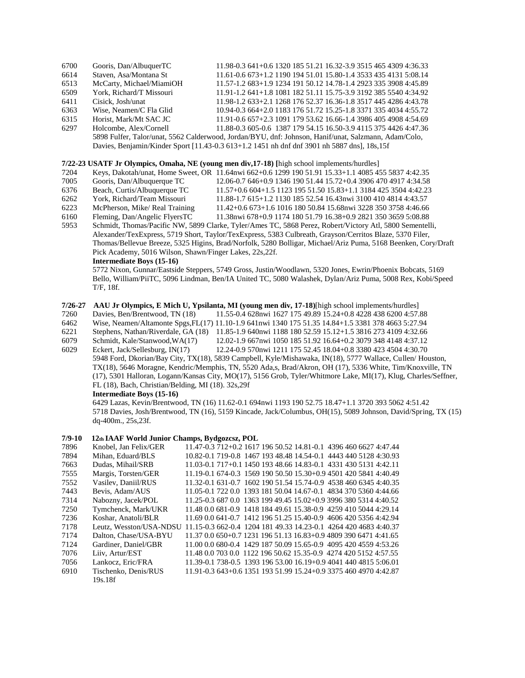| 6700 | Gooris, Dan/AlbuquerTC   | 11.98-0.3 641+0.6 1320 185 51.21 16.32-3.9 3515 465 4309 4:36.33                                                                                                                                                                                                                                                                |
|------|--------------------------|---------------------------------------------------------------------------------------------------------------------------------------------------------------------------------------------------------------------------------------------------------------------------------------------------------------------------------|
| 6614 | Staven, Asa/Montana St   | 11.61-0.6 673+1.2 1190 194 51.01 15.80-1.4 3533 435 4131 5:08.14                                                                                                                                                                                                                                                                |
| 6513 | McCarty, Michael/MiamiOH | 11.57-1.2 683+1.9 1234 191 50.12 14.78-1.4 2923 335 3908 4:45.89                                                                                                                                                                                                                                                                |
| 6509 | York. Richard/T Missouri | 11.91-1.2 641+1.8 1081 182 51.11 15.75-3.9 3192 385 5540 4:34.92                                                                                                                                                                                                                                                                |
| 6411 | Cisick. Josh/unat        | 11.98-1.2 633+2.1 1268 176 52.37 16.36-1.8 3517 445 4286 4:43.78                                                                                                                                                                                                                                                                |
| 6363 | Wise, Neamen/C Fla Glid  | 10.94-0.3 664+2.0 1183 176 51.72 15.25-1.8 3371 335 4034 4:55.72                                                                                                                                                                                                                                                                |
| 6315 | Horist, Mark/Mt SAC JC   | 11.91-0.6 657+2.3 1091 179 53.62 16.66-1.4 3986 405 4908 4:54.69                                                                                                                                                                                                                                                                |
| 6297 | Holcombe, Alex/Cornell   | 11.88-0.3 605-0.6 1387 179 54.15 16.50-3.9 4115 375 4426 4:47.36                                                                                                                                                                                                                                                                |
|      |                          | 5898 Fulfer, Talor/unat, 5562 Calderwood, Jordan/BYU, dnf: Johnson, Hanif/unat, Salzmann, Adam/Colo,                                                                                                                                                                                                                            |
|      |                          | $\mathcal{D}$ , $\mathcal{D}$ , $\mathcal{D}$ , $\mathcal{D}$ , $\mathcal{D}$ , $\mathcal{D}$ , $\mathcal{D}$ , $\mathcal{D}$ , $\mathcal{D}$ , $\mathcal{D}$ , $\mathcal{D}$ , $\mathcal{D}$ , $\mathcal{D}$ , $\mathcal{D}$ , $\mathcal{D}$ , $\mathcal{D}$ , $\mathcal{D}$ , $\mathcal{D}$ , $\mathcal{D}$ , $\mathcal{D}$ , |

Davies, Benjamin/Kinder Sport [11.43-0.3 613+1.2 1451 nh dnf dnf 3901 nh 5887 dns], 18s,15f

#### **7/22-23 USATF Jr Olympics, Omaha, NE (young men div,17-18) [**high school implements/hurdles]

- 7204 Keys, Dakotah/unat, Home Sweet, OR 11.64nwi 662+0.6 1299 190 51.91 15.33+1.1 4085 455 5837 4:42.35
- 7005 Gooris, Dan/Albuquerque TC 12.06-0.7 646+0.9 1346 190 51.44 15.72+0.4 3906 470 4917 4:34.58
- 6376 Beach, Curtis/Albuquerque TC 11.57+0.6 604+1.5 1123 195 51.50 15.83+1.1 3184 425 3504 4:42.23
- 
- 6262 York, Richard/Team Missouri 11.88-1.7 615+1.2 1130 185 52.54 16.43nwi 3100 410 4814 4:43.57 6223 McPherson, Mike/ Real Training 11.42+0.6 673+1.6 1016 180 50.84 15.68nwi 3228 350 3758 4:46.66
- 6160 Fleming, Dan/Angelic FlyersTC 11.38nwi 678+0.9 1174 180 51.79 16.38+0.9 2821 350 3659 5:08.88 5953 Schmidt, Thomas/Pacific NW, 5899 Clarke, Tyler/Ames TC, 5868 Perez, Robert/Victory Atl, 5800 Sementelli,
- Alexander/TexExpress, 5719 Short, Taylor/TexExpress, 5383 Culbreath, Grayson/Cerritos Blaze, 5370 Filer, Thomas/Bellevue Breeze, 5325 Higins, Brad/Norfolk, 5280 Bolligar, Michael/Ariz Puma, 5168 Beenken, Cory/Draft Pick Academy, 5016 Wilson, Shawn/Finger Lakes, 22s,22f.

5772 Nixon, Gunnar/Eastside Steppers, 5749 Gross, Justin/Woodlawn, 5320 Jones, Ewrin/Phoenix Bobcats, 5169 Bello, William/PiiTC, 5096 Lindman, Ben/IA United TC, 5080 Walashek, Dylan/Ariz Puma, 5008 Rex, Kobi/Speed T/F, 18f.

- **7/26-27 AAU Jr Olympics, E Mich U, Ypsilanta, MI (young men div, 17-18)**[high school implements/hurdles]
- 7260 Davies, Ben/Brentwood, TN (18) 11.55-0.4 628nwi 1627 175 49.89 15.24+0.8 4228 438 6200 4:57.88
- 6462 Wise, Neamen/Altamonte Spgs,FL(17) 11.10-1.9 641nwi 1340 175 51.35 14.84+1.5 3381 378 4663 5:27.94
- 6221 Stephens, Nathan/Riverdale, GA (18) 11.85-1.9 640nwi 1188 180 52.59 15.12+1.5 3816 273 4109 4:32.66
- 6079 Schmidt, Kale/Stanwood,WA(17) 12.02-1.9 667nwi 1050 185 51.92 16.64+0.2 3079 348 4148 4:37.12
- 6029 Eckert, Jack/Sellesburg, IN(17) 12.24-0.9 570nwi 1211 175 52.45 18.04+0.8 3380 423 4504 4:30.70
	- 5948 Ford, Dkorian/Bay City, TX(18), 5839 Campbell, Kyle/Mishawaka, IN(18), 5777 Wallace, Cullen/ Houston, TX(18), 5646 Moragne, Kendric/Memphis, TN, 5520 Ada,s, Brad/Akron, OH (17), 5336 White, Tim/Knoxville, TN (17), 5301 Halloran, Logann/Kansas City, MO(17), 5156 Grob, Tyler/Whitmore Lake, MI(17), Klug, Charles/Seffner, FL (18), Bach, Christian/Belding, MI (18). 32s,29f

#### **Intermediate Boys (15-16)**

6429 Lazas, Kevin/Brentwood, TN (16) 11.62-0.1 694nwi 1193 190 52.75 18.47+1.1 3720 393 5062 4:51.42 5718 Davies, Josh/Brentwood, TN (16), 5159 Kincade, Jack/Columbus, OH(15), 5089 Johnson, David/Spring, TX (15) dq-400m., 25s,23f.

#### **7/9-10 12th IAAF World Junior Champs, Bydgozcsz, POL**

| 7896 | Knobel. Jan Felix/GER   | 11.47-0.3 712+0.2 1617 196 50.52 14.81-0.1 4396 460 6627 4:47.44 |
|------|-------------------------|------------------------------------------------------------------|
| 7894 | Mihan. Eduard/BLS       | 10.82-0.1 719-0.8 1467 193 48.48 14.54-0.1 4443 440 5128 4:30.93 |
| 7663 | Dudas, Mihail/SRB       | 11.03-0.1 717+0.1 1450 193 48.66 14.83-0.1 4331 430 5131 4:42.11 |
| 7555 | Margis, Torsten/GER     | 11.19-0.1 674-0.3 1569 190 50.50 15.30+0.9 4501 420 5841 4:40.49 |
| 7552 | Vasiley, Daniil/RUS     | 11.32-0.1 631-0.7 1602 190 51.54 15.74-0.9 4538 460 6345 4:40.35 |
| 7443 | Bevis, Adam/AUS         | 11.05-0.1 722 0.0 1393 181 50.04 14.67-0.1 4834 370 5360 4:44.66 |
| 7314 | Nabozny, Jacek/POL      | 11.25-0.3 687 0.0 1363 199 49.45 15.02+0.9 3996 380 5314 4:40.52 |
| 7250 | Tymchenck, Mark/UKR     | 11.48 0.0 681-0.9 1418 184 49.61 15.38-0.9 4259 410 5044 4:29.14 |
| 7236 | Koshar, Anatoli/BLR     | 11.69 0.0 641-0.7 1412 196 51.25 15.40-0.9 4606 420 5356 4:42.94 |
| 7178 | Leutz. Wesston/USA-NDSU | 11.15-0.3 662-0.4 1204 181 49.33 14.23-0.1 4264 420 4683 4:40.37 |
| 7174 | Dalton, Chase/USA-BYU   | 11.37 0.0 650+0.7 1231 196 51.13 16.83+0.9 4809 390 6471 4:41.65 |
| 7124 | Gardiner, Daniel/GBR    | 11.00 0.0 680-0.4 1429 187 50.09 15.65-0.9 4095 420 4559 4:53.26 |
| 7076 | Liiv, Artur/EST         | 11.48 0.0 703 0.0 1122 196 50.62 15.35-0.9 4274 420 5152 4:57.55 |
| 7056 | Lankocz. Eric/FRA       | 11.39-0.1 738-0.5 1393 196 53.00 16.19+0.9 4041 440 4815 5:06.01 |
| 6910 | Tischenko, Denis/RUS    | 11.91-0.3 643+0.6 1351 193 51.99 15.24+0.9 3375 460 4970 4:42.87 |
|      | 19s.18f                 |                                                                  |

**Intermediate Boys (15-16)**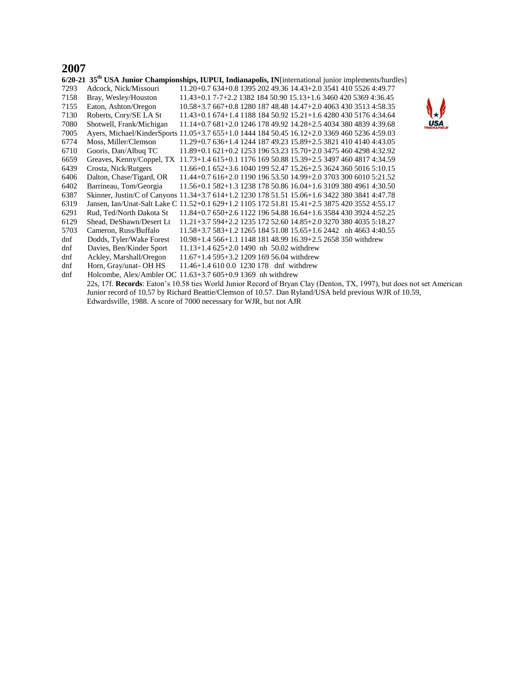#### **2007**

|      | $6/20$ -21 35 <sup>th</sup> USA Junior Championships, IUPUI, Indianapolis, IN [international junior implements/hurdles] |                                                                                                                       |  |  |  |  |  |  |
|------|-------------------------------------------------------------------------------------------------------------------------|-----------------------------------------------------------------------------------------------------------------------|--|--|--|--|--|--|
| 7293 | Adcock, Nick/Missouri                                                                                                   | 11.20+0.7 634+0.8 1395 202 49.36 14.43+2.0 3541 410 5526 4:49.77                                                      |  |  |  |  |  |  |
| 7158 | Bray, Wesley/Houston                                                                                                    | 11.43+0.1 7-7+2.2 1382 184 50.90 15.13+1.6 3460 420 5369 4:36.45                                                      |  |  |  |  |  |  |
| 7155 | Eaton, Ashton/Oregon                                                                                                    | 10.58+3.7 667+0.8 1280 187 48.48 14.47+2.0 4063 430 3513 4:58.35                                                      |  |  |  |  |  |  |
| 7130 | Roberts, Cory/SE LA St                                                                                                  | $11.43+0.1$ 674+1.4 1188 184 50.92 15.21+1.6 4280 430 5176 4:34.64                                                    |  |  |  |  |  |  |
| 7080 | Shotwell, Frank/Michigan                                                                                                | USA<br>$11.14+0.7681+2.0124617849.9214.28+2.540343804839439.68$                                                       |  |  |  |  |  |  |
| 7005 |                                                                                                                         | Ayers, Michael/KinderSports 11.05+3.7 655+1.0 1444 184 50.45 16.12+2.0 3369 460 5236 4:59.03                          |  |  |  |  |  |  |
| 6774 | Moss, Miller/Clemson                                                                                                    | 11.29+0.7 636+1.4 1244 187 49.23 15.89+2.5 3821 410 4140 4:43.05                                                      |  |  |  |  |  |  |
| 6710 | Gooris, Dan/Albuq TC                                                                                                    | $11.89 + 0.1621 + 0.2125319653.2315.70 + 2.034754604298432.92$                                                        |  |  |  |  |  |  |
| 6659 |                                                                                                                         | Greaves, Kenny/Coppel, TX 11.73+1.4 615+0.1 1176 169 50.88 15.39+2.5 3497 460 4817 4:34.59                            |  |  |  |  |  |  |
| 6439 | Crosta, Nick/Rutgers                                                                                                    | 11.66+0.1 652+3.6 1040 199 52.47 15.26+2.5 3624 360 5016 5:10.15                                                      |  |  |  |  |  |  |
| 6406 | Dalton, Chase/Tigard, OR                                                                                                | 11.44+0.7 616+2.0 1190 196 53.50 14.99+2.0 3703 300 6010 5:21.52                                                      |  |  |  |  |  |  |
| 6402 | Barrineau, Tom/Georgia                                                                                                  | 11.56+0.1 582+1.3 1238 178 50.86 16.04+1.6 3109 380 4961 4:30.50                                                      |  |  |  |  |  |  |
| 6387 |                                                                                                                         | Skinner, Justin/C of Canyons 11.34+3.7 614+1.2 1230 178 51.51 15.06+1.6 3422 380 3841 4:47.78                         |  |  |  |  |  |  |
| 6319 |                                                                                                                         | Jansen, Ian/Unat-Salt Lake C 11.52+0.1 629+1.2 1105 172 51.81 15.41+2.5 3875 420 3552 4:55.17                         |  |  |  |  |  |  |
| 6291 | Rud, Ted/North Dakota St                                                                                                | 11.84+0.7 650+2.6 1122 196 54.88 16.64+1.6 3584 430 3924 4:52.25                                                      |  |  |  |  |  |  |
| 6129 | Shead, DeShawn/Desert Lt                                                                                                | 11.21+3.7 594+2.2 1235 172 52.60 14.85+2.0 3270 380 4035 5:18.27                                                      |  |  |  |  |  |  |
| 5703 | Cameron, Russ/Buffalo                                                                                                   | 11.58+3.7 583+1.2 1265 184 51.08 15.65+1.6 2442 nh 4663 4:40.55                                                       |  |  |  |  |  |  |
| dnf  | Dodds, Tyler/Wake Forest                                                                                                | 10.98+1.4 566+1.1 1148 181 48.99 16.39+2.5 2658 350 withdrew                                                          |  |  |  |  |  |  |
| dnf  | Davies, Ben/Kinder Sport                                                                                                | $11.13+1.4625+2.01490$ nh 50.02 withdrew                                                                              |  |  |  |  |  |  |
| dnf  | Ackley, Marshall/Oregon                                                                                                 | $11.67+1.4$ 595+3.2 1209 169 56.04 withdrew                                                                           |  |  |  |  |  |  |
| dnf  | Horn, Gray/unat-OH HS                                                                                                   | 11.46+1.4 610 0.0 1230 178 dnf withdrew                                                                               |  |  |  |  |  |  |
| dnf  |                                                                                                                         | Holcombe, Alex/Ambler OC $11.63+3.7605+0.91369$ nh withdrew                                                           |  |  |  |  |  |  |
|      |                                                                                                                         | 22s, 17f. Records: Eaton's 10.58 ties World Junior Record of Bryan Clay (Denton, TX, 1997), but does not set American |  |  |  |  |  |  |
|      |                                                                                                                         | Junior record of 10.57 by Richard Beattie/Clemson of 10.57. Dan Ryland/USA held previous WJR of 10.59,                |  |  |  |  |  |  |
|      | Edwardsville, 1988. A score of 7000 necessary for WJR, but not AJR                                                      |                                                                                                                       |  |  |  |  |  |  |

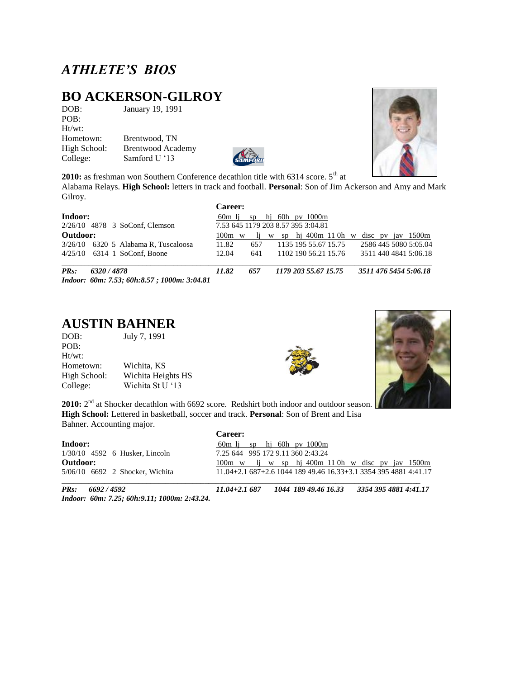# *ATHLETE'S BIOS*

# **BO ACKERSON-GILROY**<br>DOB: January 19, 1991

January 19, 1991 POB: Ht/wt: Hometown: Brentwood, TN High School: Brentwood Academy College: Samford U "13

Gilroy.



2010: as freshman won Southern Conference decathlon title with 6314 score. 5<sup>th</sup> at Alabama Relays. **High School:** letters in track and football. **Personal**: Son of Jim Ackerson and Amy and Mark

|             |                                                            | Career:                                     |     |                                               |  |  |  |  |  |  |  |
|-------------|------------------------------------------------------------|---------------------------------------------|-----|-----------------------------------------------|--|--|--|--|--|--|--|
| Indoor:     |                                                            | hi 60h py 1000m<br>60 <sub>m</sub> li<br>SD |     |                                               |  |  |  |  |  |  |  |
|             | $2/26/10$ 4878 3 SoConf, Clemson                           |                                             |     | 7.53 645 1179 203 8.57 395 3:04.81            |  |  |  |  |  |  |  |
| Outdoor:    |                                                            | $100m \le w$                                | li. | w sp hi 400m 110h w disc pv jav 1500m         |  |  |  |  |  |  |  |
|             | $3/26/10$ 6320 5 Alabama R, Tuscaloosa                     | 11.82                                       | 657 | 2586 445 5080 5:05.04<br>1135 195 55.67 15.75 |  |  |  |  |  |  |  |
|             | $4/25/10$ 6314 1 SoConf. Boone                             | 12.04                                       | 641 | 1102 190 56.21 15.76<br>3511 440 4841 5:06.18 |  |  |  |  |  |  |  |
| <b>PRs:</b> | 6320 / 4878<br>Indoor: 60m: 7.53; 60h:8.57; 1000m: 3:04.81 | 11.82                                       | 657 | 3511 476 5454 5:06.18<br>1179 203 55.67 15.75 |  |  |  |  |  |  |  |

# **AUSTIN BAHNER**<br>DOB: July 7, 1991

July 7, 1991 POB: Ht/wt: Hometown: Wichita, KS High School: Wichita Heights HS College: Wichita St U "13





2010: 2<sup>nd</sup> at Shocker decathlon with 6692 score. Redshirt both indoor and outdoor season. **High School:** Lettered in basketball, soccer and track. **Personal**: Son of Brent and Lisa Bahner. Accounting major.

|                                  | <b>Career:</b>                                                     |
|----------------------------------|--------------------------------------------------------------------|
| Indoor:                          | $60m$ li sp hi $60h$ pv $1000m$                                    |
| $1/30/10$ 4592 6 Husker, Lincoln | 7.25 644 995 172 9.11 360 2:43.24                                  |
| Outdoor:                         | 100m w li w sp hi 400m 110h w disc pv jav 1500m                    |
| 5/06/10 6692 2 Shocker, Wichita  | $11.04+2.1$ 687+2.6 1044 189 49.46 16.33+3.1 3354 395 4881 4:41.17 |
|                                  |                                                                    |

*Indoor: 60m: 7.25; 60h:9.11; 1000m: 2:43.24.* 

*PRs: 6692 / 4592 11.04+2.1 687 1044 189 49.46 16.33 3354 395 4881 4:41.17* 

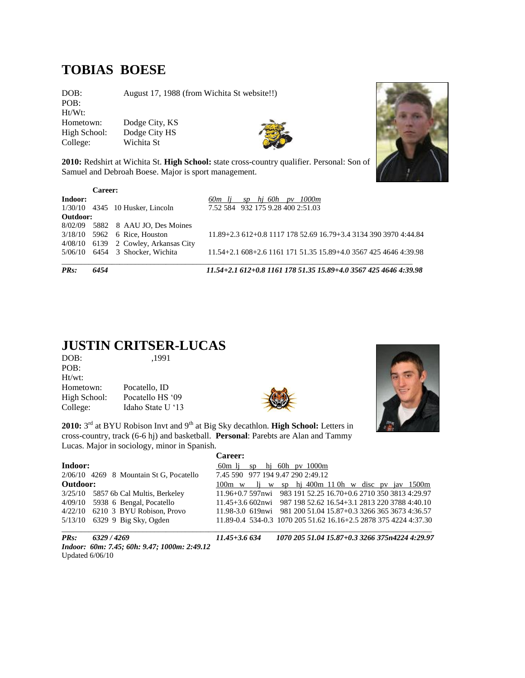#### **TOBIAS BOESE**

DOB: August 17, 1988 (from Wichita St website!!) POB: Ht/Wt: Hometown: Dodge City, KS<br>High School: Dodge City HS Dodge City HS College: Wichita St



**2010:** Redshirt at Wichita St. **High School:** state cross-country qualifier. Personal: Son of Samuel and Debroah Boese. Major is sport management.

|             | Career: |                                      |                                                                    |
|-------------|---------|--------------------------------------|--------------------------------------------------------------------|
| Indoor:     |         |                                      | hi 60h<br>1000m<br>60m li<br>SD<br>pv                              |
|             |         | $1/30/10$ 4345 10 Husker, Lincoln    | 7.52 584 932 175 9.28 400 2:51.03                                  |
| Outdoor:    |         |                                      |                                                                    |
|             |         | 8/02/09 5882 8 AAU JO, Des Moines    |                                                                    |
|             |         | $3/18/10$ 5962 6 Rice, Houston       | 11.89+2.3 612+0.8 1117 178 52.69 16.79+3.4 3134 390 3970 4:44.84   |
|             |         | 4/08/10 6139 2 Cowley, Arkansas City |                                                                    |
|             |         | $5/06/10$ 6454 3 Shocker, Wichita    | $11.54+2.1$ 608+2.6 1161 171 51.35 15.89+4.0 3567 425 4646 4:39.98 |
| <b>PRs:</b> | 6454    |                                      | 11.54+2.1 612+0.8 1161 178 51.35 15.89+4.0 3567 425 4646 4:39.98   |

#### **JUSTIN CRITSER-LUCAS**

| ,1991             |
|-------------------|
|                   |
|                   |
| Pocatello, ID     |
| Pocatello HS '09  |
| Idaho State U '13 |
|                   |



2010: 3<sup>rd</sup> at BYU Robison Invt and 9<sup>th</sup> at Big Sky decathlon. **High School:** Letters in cross-country, track (6-6 hj) and basketball. **Personal**: Parebts are Alan and Tammy Lucas. Major in sociology, minor in Spanish.



|          |                                         | Career:                                                          |
|----------|-----------------------------------------|------------------------------------------------------------------|
| Indoor:  |                                         | $60m$ lj sp hj $60h$ pv $1000m$                                  |
|          | 2/06/10 4269 8 Mountain St G, Pocatello | 7.45 590 977 194 9.47 290 2:49.12                                |
| Outdoor: |                                         | 100m w li w sp hi 400m 110h w disc pv jay 1500m                  |
|          | 3/25/10 5857 6b Cal Multis, Berkeley    | 11.96+0.7 597nwi 983 191 52.25 16.70+0.6 2710 350 3813 4:29.97   |
|          | 4/09/10 5938 6 Bengal, Pocatello        | 11.45+3.6 602nwi 987 198 52.62 16.54+3.1 2813 220 3788 4:40.10   |
|          | 4/22/10 6210 3 BYU Robison, Provo       | 11.98-3.0 619nwi 981 200 51.04 15.87+0.3 3266 365 3673 4:36.57   |
|          | 5/13/10 6329 9 Big Sky, Ogden           | 11.89-0.4 534-0.3 1070 205 51.62 16.16+2.5 2878 375 4224 4:37.30 |
|          |                                         |                                                                  |

*Indoor: 60m: 7.45; 60h: 9.47; 1000m: 2:49.12*  Updated 6/06/10

*PRs: 6329 / 4269 11.45+3.6 634 1070 205 51.04 15.87+0.3 3266 375n4224 4:29.97* 

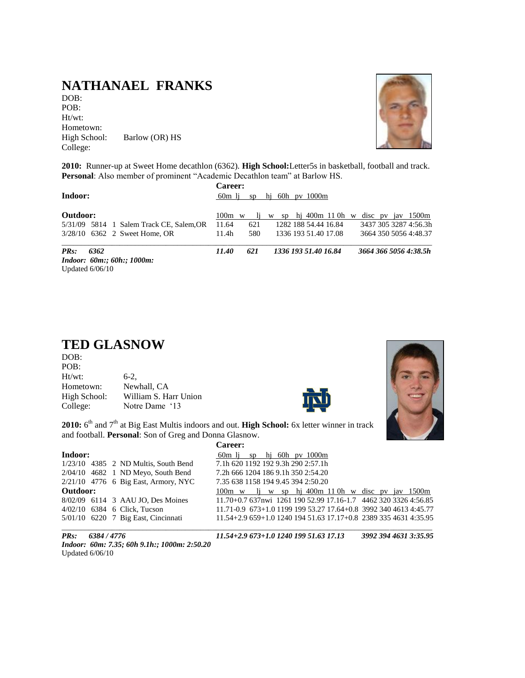### **NATHANAEL FRANKS**

DOB: POB: Ht/wt: Hometown:<br>High School: Barlow (OR) HS College:



**2010:** Runner-up at Sweet Home decathlon (6362). **High School:**Letter5s in basketball, football and track. **Personal**: Also member of prominent "Academic Decathlon team" at Barlow HS.

| Indoor:                                  | <b>Career:</b><br>60 <sub>m</sub> li | sp  | hi 60h py 1000m              |                       |
|------------------------------------------|--------------------------------------|-----|------------------------------|-----------------------|
| Outdoor:                                 | $100m \le w$                         | I1. | sp hj 400 $m$ 110 $h$ w<br>W | disc pv jav 1500m     |
| 5/31/09 5814 1 Salem Track CE, Salem, OR | 11.64                                | 621 | 1282 188 54.44 16.84         | 3437 305 3287 4:56.3h |
| 3/28/10 6362 2 Sweet Home, OR            | 11.4h                                | 580 | 1336 193 51.40 17.08         | 3664 350 5056 4:48.37 |
| $PRs$ :<br>6362                          | 11.40                                | 621 | 1336 193 51.40 16.84         | 3664 366 5056 4:38.5h |
| <i>Indoor: 60m:; 60h:; 1000m:</i>        |                                      |     |                              |                       |
| Updated $6/06/10$                        |                                      |     |                              |                       |

#### **TED GLASNOW**

| DOB:         |                       |
|--------------|-----------------------|
| POB:         |                       |
| $Ht/wt$ :    | $6-2.$                |
| Hometown:    | Newhall, CA           |
| High School: | William S. Harr Union |
| College:     | Notre Dame '13        |





2010: 6<sup>th</sup> and 7<sup>th</sup> at Big East Multis indoors and out. High School: 6x letter winner in track and football. **Personal**: Son of Greg and Donna Glasnow.

|              |  |                                        | Career:                                                          |
|--------------|--|----------------------------------------|------------------------------------------------------------------|
| Indoor:      |  |                                        | $60m$ lj sp hj $60h$ pv $1000m$                                  |
|              |  | $1/23/10$ 4385 2 ND Multis, South Bend | 7.1h 620 1192 192 9.3h 290 2:57.1h                               |
|              |  | $2/04/10$ 4682 1 ND Meyo, South Bend   | 7.2h 666 1204 186 9.1h 350 2:54.20                               |
|              |  | 2/21/10 4776 6 Big East, Armory, NYC   | 7.35 638 1158 194 9.45 394 2:50.20                               |
| Outdoor:     |  |                                        | 100m w li w sp hi 400m 110h w disc pv jay 1500m                  |
|              |  | 8/02/09 6114 3 AAU JO, Des Moines      | 11.70+0.7 637nwi 1261 190 52.99 17.16-1.7 4462 320 3326 4:56.85  |
|              |  | 4/02/10 6384 6 Click. Tucson           | 11.71-0.9 673+1.0 1199 199 53.27 17.64+0.8 3992 340 4613 4:45.77 |
|              |  | 5/01/10 6220 7 Big East, Cincinnati    | $11.54+2.9659+1.0124019451.6317.17+0.8238933546314.35.95$        |
| $\mathbf{m}$ |  |                                        | 11 = 1 A A Z=A 1 A 1A 1A 1AA = 1 ZA 1= 1A                        |

*Indoor: 60m: 7.35; 60h 9.1h:; 1000m: 2:50.20* Updated 6/06/10

*PRs: 6384 / 4776 11.54+2.9 673+1.0 1240 199 51.63 17.13 3992 394 4631 3:35.95*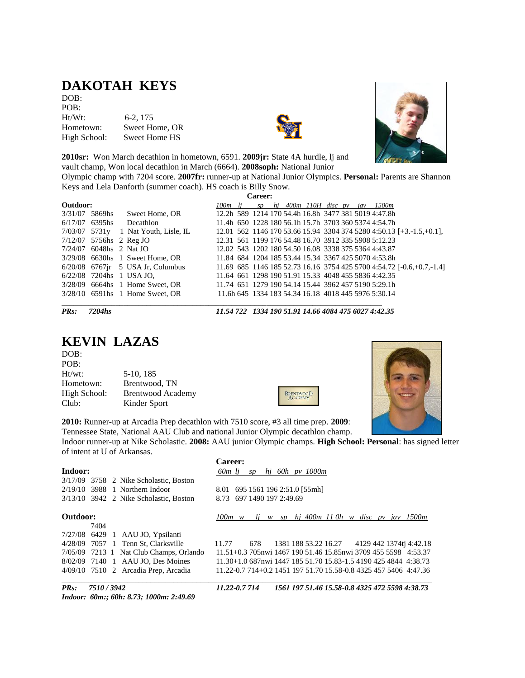# **DAKOTAH KEYS**

DOB: POB: Ht/Wt: 6-2, 175 Hometown: Sweet Home, OR High School: Sweet Home HS





**2010sr:** Won March decathlon in hometown, 6591. **2009jr:** State 4A hurdle, lj and vault champ, Won local decathlon in March (6664). **2008soph:** National Junior

Olympic champ with 7204 score. **2007fr:** runner-up at National Junior Olympics. **Personal:** Parents are Shannon Keys and Lela Danforth (summer coach). HS coach is Billy Snow.

| Career:                   |  |  |                                         |                     |  |  |  |                         |  |     |                                                                        |
|---------------------------|--|--|-----------------------------------------|---------------------|--|--|--|-------------------------|--|-----|------------------------------------------------------------------------|
| Outdoor:                  |  |  |                                         | 100 <sub>m</sub> li |  |  |  | sp hj 400m 110H disc pv |  | jav | 1500m                                                                  |
| 3/31/07 5869hs            |  |  | Sweet Home, OR                          |                     |  |  |  |                         |  |     | 12.2h 589 1214 170 54.4h 16.8h 3477 381 5019 4:47.8h                   |
| $6/17/07$ 6395hs          |  |  | Decathlon                               |                     |  |  |  |                         |  |     | 11.4h 650 1228 180 56.1h 15.7h 3703 360 5374 4:54.7h                   |
| 7/03/07 5731y             |  |  | 1 Nat Youth, Lisle, IL                  |                     |  |  |  |                         |  |     | $12.01$ 562 1146 170 53.66 15.94 3304 374 5280 4:50.13 [+3.-1.5,+0.1], |
| 7/12/07 5756hs 2 Reg JO   |  |  |                                         |                     |  |  |  |                         |  |     | 12.31 561 1199 176 54.48 16.70 3912 335 5908 5:12.23                   |
| $7/24/07$ 6048hs 2 Nat JO |  |  |                                         |                     |  |  |  |                         |  |     | 12.02 543 1202 180 54.50 16.08 3338 375 5364 4:43.87                   |
|                           |  |  | $3/29/08$ 6630hs 1 Sweet Home, OR       |                     |  |  |  |                         |  |     | 11.84 684 1204 185 53.44 15.34 3367 425 5070 4:53.8h                   |
|                           |  |  | $6/20/08$ 6767 $\mu$ 5 USA Jr, Columbus |                     |  |  |  |                         |  |     | 11.69 685 1146 185 52.73 16.16 3754 425 5700 4:54.72 [-0.6,+0.7,-1.4]  |
|                           |  |  | 6/22/08 7204hs 1 USA JO.                |                     |  |  |  |                         |  |     | 11.64 661 1298 190 51.91 15.33 4048 455 5836 4:42.35                   |
|                           |  |  | 3/28/09 6664hs 1 Home Sweet, OR         |                     |  |  |  |                         |  |     | 11.74 651 1279 190 54.14 15.44 3962 457 5190 5:29.1h                   |
|                           |  |  | $3/28/10$ 6591hs 1 Home Sweet, OR       |                     |  |  |  |                         |  |     | 11.6h 645 1334 183 54.34 16.18 4018 445 5976 5:30.14                   |

*PRs: 7204hs 11.54 722 1334 190 51.91 14.66 4084 475 6027 4:42.35*

### **KEVIN LAZAS**

| DOB:         |                          |
|--------------|--------------------------|
| POB:         |                          |
| $Ht/wt$ :    | 5-10, 185                |
| Hometown:    | Brentwood, TN            |
| High School: | <b>Brentwood Academy</b> |
| Club:        | Kinder Sport             |





**2010:** Runner-up at Arcadia Prep decathlon with 7510 score, #3 all time prep. **2009**: Tennessee State, National AAU Club and national Junior Olympic decathlon champ.

Indoor runner-up at Nike Scholastic. **2008:** AAU junior Olympic champs. **High School: Personal**: has signed letter of intent at U of Arkansas.

|          |                                          | <b>Career:</b>                                                   |
|----------|------------------------------------------|------------------------------------------------------------------|
| Indoor:  |                                          | hi 60h <i>py</i> 1000m<br>60m li<br>SD                           |
|          | 3/17/09 3758 2 Nike Scholastic, Boston   |                                                                  |
| 2/19/10  | 3988 1 Northern Indoor                   | 8.01 695 1561 196 2:51.0 [55mh]                                  |
|          | $3/13/10$ 3942 2 Nike Scholastic, Boston | 8.73 697 1490 197 2:49.69                                        |
| Outdoor: |                                          | $1j$ w sp $h$ j 400m 110h w disc pv jav 1500m<br>$100m \quad w$  |
|          | 7404                                     |                                                                  |
|          | 7/27/08 6429 1 AAU JO, Ypsilanti         |                                                                  |
|          | 4/28/09 7057 1 Tenn St, Clarksville      | 1381 188 53.22 16.27 4129 442 1374tj 4:42.18<br>11.77<br>678     |
|          | 7/05/09 7213 1 Nat Club Champs, Orlando  | 11.51+0.3 705nwi 1467 190 51.46 15.85nwi 3709 455 5598 4:53.37   |
|          | 8/02/09 7140 1 AAU JO, Des Moines        | 11.30+1.0 687nwi 1447 185 51.70 15.83-1.5 4190 425 4844 4:38.73  |
|          | $4/09/10$ 7510 2 Arcadia Prep, Arcadia   | 11.22-0.7 714+0.2 1451 197 51.70 15.58-0.8 4325 457 5406 4:47.36 |
| $PRs$ :  | 7510/3942                                | 11.22-0.7 714<br>1561 197 51.46 15.58-0.8 4325 472 5598 4:38.73  |

*Indoor: 60m:; 60h: 8.73; 1000m: 2:49.69*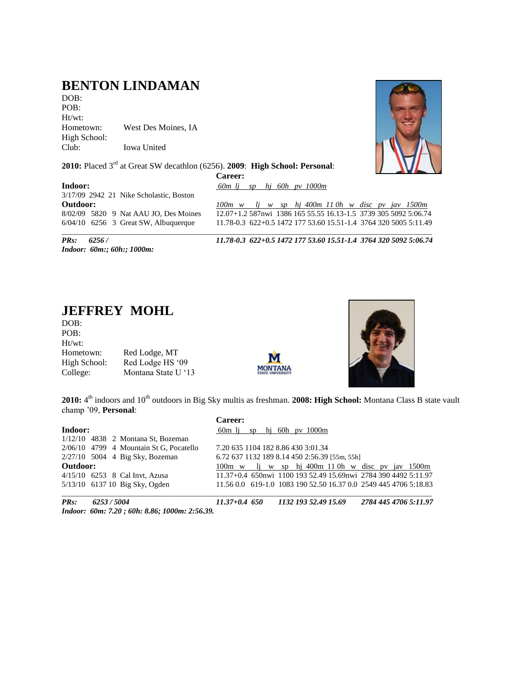## **BENTON LINDAMAN**

DOB: POB: Ht/wt: Hometown: West Des Moines, IA High School: Club: Iowa United

**2010:** Placed 3rd at Great SW decathlon (6256). **2009**: **High School: Personal**:

**Career:**



**Indoor:** *60m lj sp hj 60h pv 1000m* 3/17/09 2942 21 Nike Scholastic, Boston

**Outdoor:** *100m w lj w sp hj 400m 11 0h w disc pv jav 1500m* 8/02/09 5820 9 Nat AAU JO, Des Moines 12.07+1.2 587nwi 1386 165 55.55 16.13-1.5 3739 305 5092 5:06.74<br>6/04/10 6256 3 Great SW, Albuquerque 11.78-0.3 622+0.5 1472 177 53.60 15.51-1.4 3764 320 5005 5:11.49 11.78-0.3 622+0.5 1472 177 53.60 15.51-1.4 3764 320 5005 5:11.49 \_\_\_\_\_\_\_\_\_\_\_\_\_\_\_\_\_\_\_\_\_\_\_\_\_\_\_\_\_\_\_\_\_\_\_\_\_\_\_\_\_\_\_\_\_\_\_\_\_\_\_\_\_\_\_\_\_\_\_\_\_\_\_\_\_\_\_\_\_\_\_\_\_\_\_\_\_\_\_\_\_\_\_\_\_\_\_\_\_\_\_\_\_\_\_\_

*Indoor: 60m:; 60h:; 1000m:* 

*PRs: 6256 / 11.78-0.3 622+0.5 1472 177 53.60 15.51-1.4 3764 320 5092 5:06.74*

#### **JEFFREY MOHL**

DOB: POB: Ht/wt: Hometown: Red Lodge, MT High School: Red Lodge HS '09 College: Montana State U "13





2010: 4<sup>th</sup> indoors and 10<sup>th</sup> outdoors in Big Sky multis as freshman. 2008: High School: Montana Class B state vault champ "09, **Personal**: **Career:**

|                                           | Career:                                                          |
|-------------------------------------------|------------------------------------------------------------------|
| Indoor:                                   | hj 60h py 1000m<br>60m li<br>SD                                  |
| $1/12/10$ 4838 2 Montana St, Bozeman      |                                                                  |
| $2/06/10$ 4799 4 Mountain St G, Pocatello | 7.20 635 1104 182 8.86 430 3:01.34                               |
| $2/27/10$ 5004 4 Big Sky, Bozeman         | 6.72 637 1132 189 8.14 450 2:56.39 [55m, 55h]                    |
| Outdoor:                                  | 100m w li w sp hi 400m 110h w disc pv jay 1500m                  |
| $4/15/10$ 6253 8 Cal Invt. Azusa          | 11.37+0.4 650nwi 1100 193 52.49 15.69nwi 2784 390 4492 5:11.97   |
| 5/13/10 6137 10 Big Sky, Ogden            | 11.56 0.0 619-1.0 1083 190 52.50 16.37 0.0 2549 445 4706 5:18.83 |
|                                           |                                                                  |

*PRs: 6253 / 5004 11.37+0.4 650 1132 193 52.49 15.69 2784 445 4706 5:11.97 Indoor: 60m: 7.20 ; 60h: 8.86; 1000m: 2:56.39.*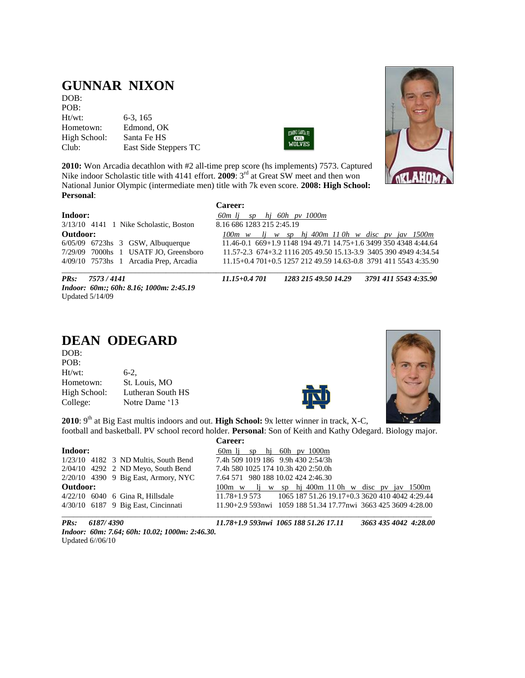#### **GUNNAR NIXON**

DOB: POB: Ht/wt: 6-3, 165 Hometown: Edmond, OK<br>High School: Santa Fe HS High School: Club: East Side Steppers TC



**2010:** Won Arcadia decathlon with #2 all-time prep score (hs implements) 7573. Captured Nike indoor Scholastic title with 4141 effort. **2009**: 3<sup>rd</sup> at Great SW meet and then won National Junior Olympic (intermediate men) title with 7k even score. **2008: High School: Personal**:



| areer |
|-------|
|-------|

**Indoor:** *60m lj sp hj 60h pv 1000m* 3/13/10 4141 1 Nike Scholastic, Boston 8.16 686 1283 215 2:45.19

**Outdoor:** *100m w lj w sp hj 400m 11 0h w disc pv jav 1500m* 6/05/09 6723hs 3 GSW, Albuquerque 11.46-0.1 669+1.9 1148 194 49.71 14.75+1.6 3499 350 4348 4:44.64 7/29/09 7000hs 1 USATF JO, Greensboro 11.57-2.3 674+3.2 1116 205 49.50 15.13-3.9 3405 390 4949 4:34.54 11.15+0.4 701+0.5 1257 212 49.59 14.63-0.8 3791 411 5543 4:35.90 \_\_\_\_\_\_\_\_\_\_\_\_\_\_\_\_\_\_\_\_\_\_\_\_\_\_\_\_\_\_\_\_\_\_\_\_\_\_\_\_\_\_\_\_\_\_\_\_\_\_\_\_\_\_\_\_\_\_\_\_\_\_\_\_\_\_\_\_\_\_\_\_\_\_\_\_\_\_\_\_\_\_\_\_\_\_\_\_\_\_\_\_\_\_\_\_

*PRs: 7573 / 4141 11.15+0.4 701 1283 215 49.50 14.29 3791 411 5543 4:35.90 Indoor: 60m:; 60h: 8.16; 1000m: 2:45.19*  Updated 5/14/09

| DEAN ODEGARD |  |
|--------------|--|

| DOB:         |                   |
|--------------|-------------------|
| POB:         |                   |
| $Ht/wt$ :    | $6-2.$            |
| Hometown:    | St. Louis, MO     |
| High School: | Lutheran South HS |
| College:     | Notre Dame '13    |





2010: 9<sup>th</sup> at Big East multis indoors and out. **High School:** 9x letter winner in track, X-C, football and basketball. PV school record holder. **Personal**: Son of Keith and Kathy Odegard. Biology major.

**Career: Indoor:**  $\frac{60m \text{ lj}}{7.4h}$  sp hj 60h pv 1000m<br>1/23/10 4182 3 ND Multis, South Bend 7.4h 509 1019 186 9.9h 430 2:54/3h 1/23/10 4182 3 ND Multis, South Bend 2/04/10 4292 2 ND Meyo, South Bend 7.4h 580 1025 174 10.3h 420 2:50.0h 2/20/10 4390 9 Big East, Armory, NYC 7.64 571 980 188 10.02 424 2:46.30 **Outdoor:** 100m w lj w sp hj 400m 11 0h w disc pv jav 1500m 4/22/10 6040 6 Gina R, Hillsdale 11.78+1.9 573 1065 187 51.26 19.17+0.3 3620 410 4042 4:29.44 4/30/10 6187 9 Big East, Cincinnati 11.90+2.9 593nwi 1059 188 51.34 17.77nwi 3663 425 3609 4:28.00  $\Box$ 

*PRs: 6187/ 4390 11.78+1.9 593nwi 1065 188 51.26 17.11 3663 435 4042 4:28.00 Indoor: 60m: 7.64; 60h: 10.02; 1000m: 2:46.30.*  Updated 6//06/10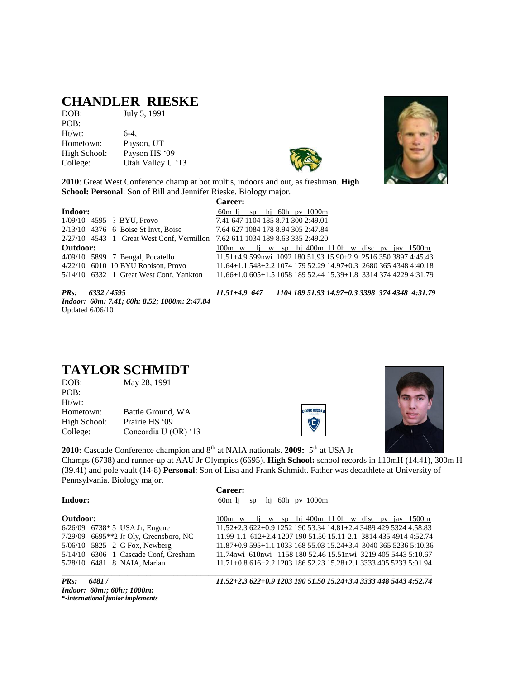#### **CHANDLER RIESKE**

DOB: July 5, 1991 POB: Ht/wt:  $6-4$ , Hometown: Payson, UT High School: Payson HS '09 College: Utah Valley U '13



**2010**: Great West Conference champ at bot multis, indoors and out, as freshman. **High School: Personal**: Son of Bill and Jennifer Rieske. Biology major.

| Indoor:<br>$60m$ li sp hi $60h$ pv $1000m$<br>7.41 647 1104 185 8.71 300 2:49.01<br>1/09/10 4595 ? BYU, Provo |  |
|---------------------------------------------------------------------------------------------------------------|--|
|                                                                                                               |  |
|                                                                                                               |  |
| 2/13/10 4376 6 Boise St Invt, Boise<br>7.64 627 1084 178 8.94 305 2:47.84                                     |  |
| 2/27/10 4543 1 Great West Conf, Vermillon 7.62 611 1034 189 8.63 335 2:49.20                                  |  |
| Outdoor:<br>100m w li w sp hi 400m 110h w disc pv jav 1500m                                                   |  |
| 11.51+4.9 599nwi 1092 180 51.93 15.90+2.9 2516 350 3897 4:45.43<br>4/09/10 5899 7 Bengal, Pocatello           |  |
| 4/22/10 6010 10 BYU Robison, Provo<br>11.64+1.1 548+2.2 1074 179 52.29 14.97+0.3 2680 365 4348 4:40.18        |  |
| 5/14/10 6332 1 Great West Conf, Yankton<br>11.66+1.0 605+1.5 1058 189 52.44 15.39+1.8 3314 374 4229 4:31.79   |  |

*Indoor: 60m: 7.41; 60h: 8.52; 1000m: 2:47.84* Updated 6/06/10

\_\_\_\_\_\_\_\_\_\_\_\_\_\_\_\_\_\_\_\_\_\_\_\_\_\_\_\_\_\_\_\_\_\_\_\_\_\_\_\_\_\_\_\_\_\_\_\_\_\_\_\_\_\_\_\_\_\_\_\_\_\_\_\_\_\_\_\_\_\_\_\_\_\_\_\_\_\_\_\_\_\_\_\_\_\_\_\_\_\_\_\_\_\_\_\_ *PRs: 6332 / 4595 11.51+4.9 647 1104 189 51.93 14.97+0.3 3398 374 4348 4:31.79*

#### **TAYLOR SCHMIDT**

| May 28, 1991         |
|----------------------|
|                      |
|                      |
| Battle Ground, WA    |
| Prairie HS '09       |
| Concordia U (OR) '13 |
|                      |

**2010:** Cascade Conference champion and 8<sup>th</sup> at NAIA nationals. **2009:** 5<sup>th</sup> at USA Jr Champs (6738) and runner-up at AAU Jr Olympics (6695). **High School:** school records in 110mH (14.41), 300m H (39.41) and pole vault (14-8) **Personal**: Son of Lisa and Frank Schmidt. Father was decathlete at University of Pennsylvania. Biology major.

**Career: Indoor:** 60m lj sp hj 60h pv 1000m

**Outdoor:** 100m w lj w sp hj 400m 11 0h w disc pv jav 1500m 6/26/09 6738\* 5 USA Jr, Eugene 11.52+2.3 622+0.9 1252 190 53.34 14.81+2.4 3489 429 5324 4:58.83 7/29/09 6695\*\*2 Jr Oly, Greensboro, NC 11.99-1.1 612+2.4 1207 190 51.50 15.11-2.1 3814 435 4914 4:52.74 11.87+0.9 595+1.1 1033 168 55.03 15.24+3.4 3040 365 5236 5:10.36 5/14/10 6306 1 Cascade Conf, Gresham 11.74nwi 610nwi 1158 180 52.46 15.51nwi 3219 405 5443 5:10.67 5/28/10 6481 8 NAIA, Marian 11.71+0.8 616+2.2 1203 186 52.23 15.28+2.1 3333 405 5233 5:01.94

**ONCORDI**  $\bigodot$ 

\_\_\_\_\_\_\_\_\_\_\_\_\_\_\_\_\_\_\_\_\_\_\_\_\_\_\_\_\_\_\_\_\_\_\_\_\_\_\_\_\_\_\_\_\_\_\_\_\_\_\_\_\_\_\_\_\_\_\_\_\_\_\_\_\_\_\_\_\_\_\_\_\_\_\_\_\_\_\_\_\_\_\_\_\_\_\_\_\_\_\_\_\_\_\_\_

*Indoor: 60m:; 60h:; 1000m: \*-international junior implements*

*PRs: 6481 / 11.52+2.3 622+0.9 1203 190 51.50 15.24+3.4 3333 448 5443 4:52.74* 



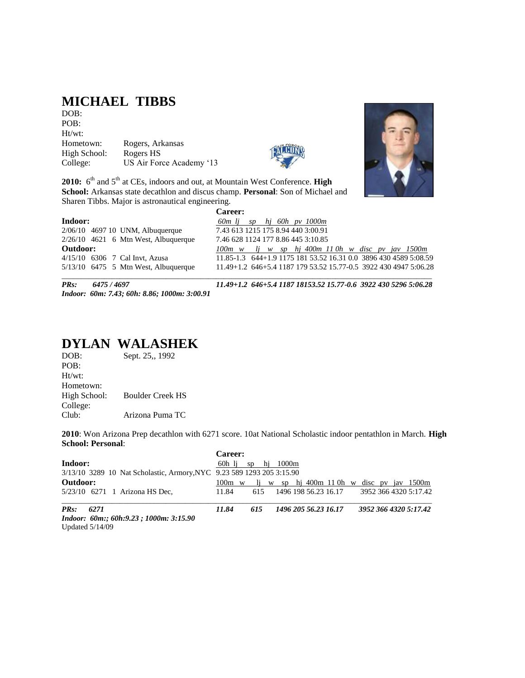## **MICHAEL TIBBS**

DOB: POB: Ht/wt: Hometown: Rogers, Arkansas High School: Rogers HS College: US Air Force Academy '13



2010: 6<sup>th</sup> and 5<sup>th</sup> at CEs, indoors and out, at Mountain West Conference. **High School:** Arkansas state decathlon and discus champ. **Personal**: Son of Michael and Sharen Tibbs. Major is astronautical engineering.

|                                        | Career:                                                          |
|----------------------------------------|------------------------------------------------------------------|
| Indoor:                                | $60m$ li sp hi $60h$ pv $1000m$                                  |
| 2/06/10 4697 10 UNM, Albuquerque       | 7.43 613 1215 175 8.94 440 3:00.91                               |
| $2/26/10$ 4621 6 Mtn West, Albuquerque | 7.46 628 1124 177 8.86 445 3:10.85                               |
| Outdoor:                               | $100m$ w lj w sp hj $400m$ 110h w disc pv jav 1500m              |
| 4/15/10 6306 7 Cal Invt, Azusa         | 11.85-1.3 644+1.9 1175 181 53.52 16.31 0.0 3896 430 4589 5:08.59 |
| $5/13/10$ 6475 5 Mtn West, Albuquerque | 11.49+1.2 646+5.4 1187 179 53.52 15.77-0.5 3922 430 4947 5:06.28 |
|                                        |                                                                  |

*Indoor: 60m: 7.43; 60h: 8.86; 1000m: 3:00.91* 

*PRs: 6475 / 4697 11.49+1.2 646+5.4 1187 18153.52 15.77-0.6 3922 430 5296 5:06.28*

# **DYLAN WALASHEK**<br>DOB: Sept. 25., 1992

Sept. 25,, 1992 POB: Ht/wt: Hometown: High School: Boulder Creek HS College: Club: Arizona Puma TC

**2010**: Won Arizona Prep decathlon with 6271 score. 10at National Scholastic indoor pentathlon in March. **High School: Personal**:

|                                                                       | Career: |     |                     |  |                      |  |                                                 |
|-----------------------------------------------------------------------|---------|-----|---------------------|--|----------------------|--|-------------------------------------------------|
| Indoor:                                                               |         |     | 60h li sphi $1000m$ |  |                      |  |                                                 |
| 3/13/10 3289 10 Nat Scholastic, Armory, NYC 9.23 589 1293 205 3:15.90 |         |     |                     |  |                      |  |                                                 |
| Outdoor:                                                              |         |     |                     |  |                      |  | 100m w li w sp hi 400m 110h w disc pv jav 1500m |
| 5/23/10 6271 1 Arizona HS Dec.                                        | 11.84   | 615 |                     |  | 1496 198 56.23 16.17 |  | 3952 366 4320 5:17.42                           |
| $PRs$ :<br>6271                                                       | 11.84   | 615 |                     |  | 1496 205 56.23 16.17 |  | 3952 366 4320 5:17.42                           |
| Indoor: 60m:; 60h:9.23 ; 1000m: 3:15.90                               |         |     |                     |  |                      |  |                                                 |
| Updated $5/14/09$                                                     |         |     |                     |  |                      |  |                                                 |